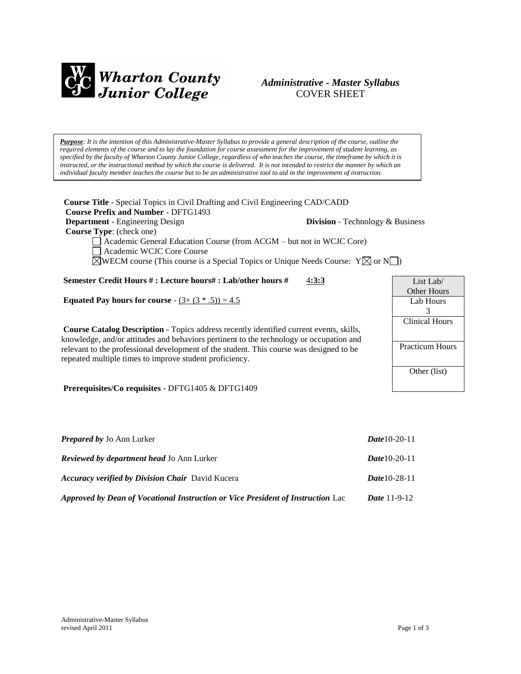

# *Administrative - Master Syllabus*  COVER SHEET

*Purpose: It is the intention of this Administrative-Master Syllabus to provide a general description of the course, outline the required elements of the course and to lay the foundation for course assessment for the improvement of student learning, as specified by the faculty of Wharton County Junior College, regardless of who teaches the course, the timeframe by which it is instructed, or the instructional method by which the course is delivered. It is not intended to restrict the manner by which an individual faculty member teaches the course but to be an administrative tool to aid in the improvement of instruction.*

**Course Title** - Special Topics in Civil Drafting and Civil Engineering CAD/CADD  **Course Prefix and Number** - DFTG1493 **Department** - Engineering Design **Division** - Technology & Business  **Course Type**: (check one) Academic General Education Course (from ACGM – but not in WCJC Core) Academic WCJC Core Course  $\boxtimes$ WECM course (This course is a Special Topics or Unique Needs Course:  $Y \boxtimes$  or N **Semester Credit Hours # : Lecture hours# : Lab/other hours #** 4**:3:3 Equated Pay hours for course** -  $(3 + (3 * .5)) = 4.5$ **Course Catalog Description** - Topics address recently identified current events, skills, knowledge, and/or attitudes and behaviors pertinent to the technology or occupation and relevant to the professional development of the student. This course was designed to be repeated multiple times to improve student proficiency. **Prerequisites/Co requisites** - DFTG1405 & DFTG1409 List Lab/ Other Hours Lab Hours 3 Clinical Hours Practicum Hours Other (list)

| <b>Prepared by Jo Ann Lurker</b>                                                | <b>Date</b> 10-20-11  |
|---------------------------------------------------------------------------------|-----------------------|
| <b>Reviewed by department head Jo Ann Lurker</b>                                | <b>Date</b> 10-20-11  |
| <b>Accuracy verified by Division Chair</b> David Kucera                         | $Date 10-28-11$       |
| Approved by Dean of Vocational Instruction or Vice President of Instruction Lac | <i>Date</i> $11-9-12$ |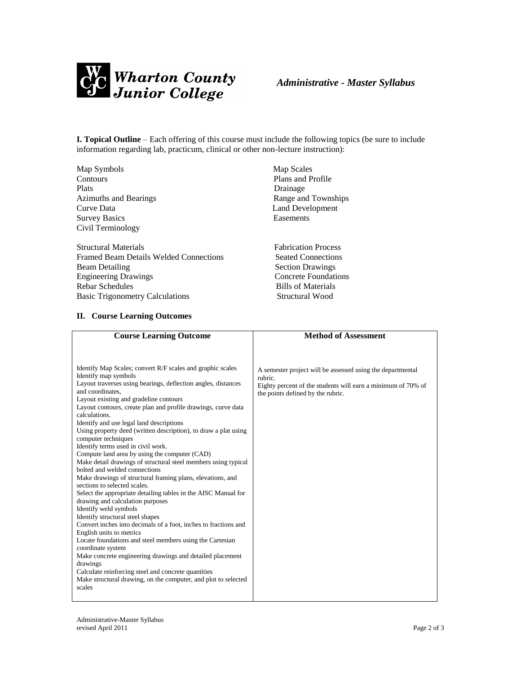

**I. Topical Outline** – Each offering of this course must include the following topics (be sure to include information regarding lab, practicum, clinical or other non-lecture instruction):

Map Symbols Map Scales Contours Plans and Profile Plats Drainage Azimuths and Bearings Range and Townships Curve Data Land Development Survey Basics Easements Civil Terminology

Structural Materials Fabrication Process Framed Beam Details Welded Connections Seated Connections Beam Detailing Section Drawings Engineering Drawings **Concrete Foundations** Rebar Schedules Bills of Materials Basic Trigonometry Calculations Structural Wood

## **II. Course Learning Outcomes**

- 
- 

| <b>Course Learning Outcome</b>                                                                                                                                                                                                                                                                                                                                                                                                                                                                                                                                                                                                                                                                                                                                                                                                                                                                                                                                                                                                                                                                                                                                                                                                                                                         | <b>Method of Assessment</b>                                                                                                                                                |
|----------------------------------------------------------------------------------------------------------------------------------------------------------------------------------------------------------------------------------------------------------------------------------------------------------------------------------------------------------------------------------------------------------------------------------------------------------------------------------------------------------------------------------------------------------------------------------------------------------------------------------------------------------------------------------------------------------------------------------------------------------------------------------------------------------------------------------------------------------------------------------------------------------------------------------------------------------------------------------------------------------------------------------------------------------------------------------------------------------------------------------------------------------------------------------------------------------------------------------------------------------------------------------------|----------------------------------------------------------------------------------------------------------------------------------------------------------------------------|
|                                                                                                                                                                                                                                                                                                                                                                                                                                                                                                                                                                                                                                                                                                                                                                                                                                                                                                                                                                                                                                                                                                                                                                                                                                                                                        |                                                                                                                                                                            |
|                                                                                                                                                                                                                                                                                                                                                                                                                                                                                                                                                                                                                                                                                                                                                                                                                                                                                                                                                                                                                                                                                                                                                                                                                                                                                        |                                                                                                                                                                            |
| Identify Map Scales; convert R/F scales and graphic scales<br>Identify map symbols<br>Layout traverses using bearings, deflection angles, distances<br>and coordinates.<br>Layout existing and gradeline contours<br>Layout contours, create plan and profile drawings, curve data<br>calculations.<br>Identify and use legal land descriptions<br>Using property deed (written description), to draw a plat using<br>computer techniques<br>Identify terms used in civil work.<br>Compute land area by using the computer (CAD)<br>Make detail drawings of structural steel members using typical<br>bolted and welded connections<br>Make drawings of structural framing plans, elevations, and<br>sections to selected scales.<br>Select the appropriate detailing tables in the AISC Manual for<br>drawing and calculation purposes<br>Identify weld symbols<br>Identify structural steel shapes<br>Convert inches into decimals of a foot, inches to fractions and<br>English units to metrics<br>Locate foundations and steel members using the Cartesian<br>coordinate system<br>Make concrete engineering drawings and detailed placement<br>drawings<br>Calculate reinforcing steel and concrete quantities<br>Make structural drawing, on the computer, and plot to selected | A semester project will be assessed using the departmental<br>rubric.<br>Eighty percent of the students will earn a minimum of 70% of<br>the points defined by the rubric. |
| scales                                                                                                                                                                                                                                                                                                                                                                                                                                                                                                                                                                                                                                                                                                                                                                                                                                                                                                                                                                                                                                                                                                                                                                                                                                                                                 |                                                                                                                                                                            |